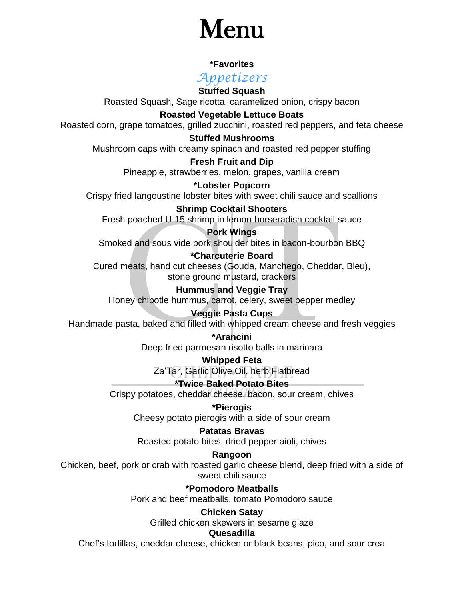# Menu

#### **\*Favorites**

*Appetizers*

**Stuffed Squash** Roasted Squash, Sage ricotta, caramelized onion, crispy bacon

**Roasted Vegetable Lettuce Boats** Roasted corn, grape tomatoes, grilled zucchini, roasted red peppers, and feta cheese

**Stuffed Mushrooms**

Mushroom caps with creamy spinach and roasted red pepper stuffing

**Fresh Fruit and Dip** Pineapple, strawberries, melon, grapes, vanilla cream

**\*Lobster Popcorn** Crispy fried langoustine lobster bites with sweet chili sauce and scallions

**Shrimp Cocktail Shooters** Fresh poached U-15 shrimp in lemon-horseradish cocktail sauce

**Pork Wings** Smoked and sous vide pork shoulder bites in bacon-bourbon BBQ

**\*Charcuterie Board**

Cured meats, hand cut cheeses (Gouda, Manchego, Cheddar, Bleu), stone ground mustard, crackers

**Hummus and Veggie Tray** Honey chipotle hummus, carrot, celery, sweet pepper medley

#### **Veggie Pasta Cups**

Handmade pasta, baked and filled with whipped cream cheese and fresh veggies

**\*Arancini** Deep fried parmesan risotto balls in marinara

**Whipped Feta**

Za'Tar, Garlic Olive Oil, herb Flatbread

**\*Twice Baked Potato Bites** Crispy potatoes, cheddar cheese, bacon, sour cream, chives

**\*Pierogis** Cheesy potato pierogis with a side of sour cream

#### **Patatas Bravas**

Roasted potato bites, dried pepper aioli, chives

#### **Rangoon**

Chicken, beef, pork or crab with roasted garlic cheese blend, deep fried with a side of sweet chili sauce

> **\*Pomodoro Meatballs** Pork and beef meatballs, tomato Pomodoro sauce

#### **Chicken Satay**

Grilled chicken skewers in sesame glaze

#### **Quesadilla**

Chef's tortillas, cheddar cheese, chicken or black beans, pico, and sour crea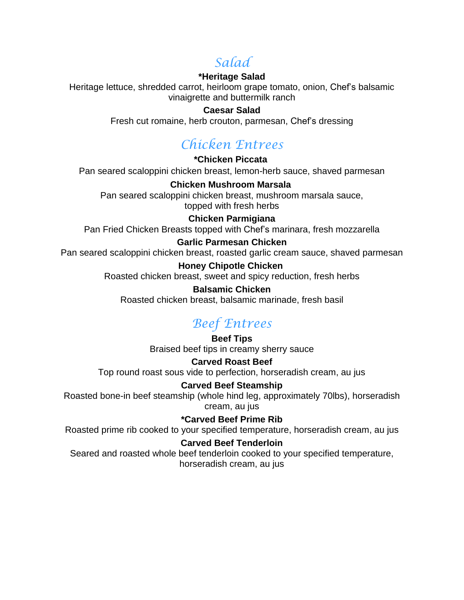### *Salad*

#### **\*Heritage Salad**

Heritage lettuce, shredded carrot, heirloom grape tomato, onion, Chef's balsamic vinaigrette and buttermilk ranch

#### **Caesar Salad**

Fresh cut romaine, herb crouton, parmesan, Chef's dressing

### *Chicken Entrees*

**\*Chicken Piccata** Pan seared scaloppini chicken breast, lemon-herb sauce, shaved parmesan

**Chicken Mushroom Marsala** Pan seared scaloppini chicken breast, mushroom marsala sauce, topped with fresh herbs

#### **Chicken Parmigiana**

Pan Fried Chicken Breasts topped with Chef's marinara, fresh mozzarella

#### **Garlic Parmesan Chicken**

Pan seared scaloppini chicken breast, roasted garlic cream sauce, shaved parmesan

#### **Honey Chipotle Chicken**

Roasted chicken breast, sweet and spicy reduction, fresh herbs

#### **Balsamic Chicken**

Roasted chicken breast, balsamic marinade, fresh basil

### *Beef Entrees*

**Beef Tips** Braised beef tips in creamy sherry sauce

#### **Carved Roast Beef**

Top round roast sous vide to perfection, horseradish cream, au jus

#### **Carved Beef Steamship**

Roasted bone-in beef steamship (whole hind leg, approximately 70lbs), horseradish cream, au jus

**\*Carved Beef Prime Rib**

Roasted prime rib cooked to your specified temperature, horseradish cream, au jus

#### **Carved Beef Tenderloin**

Seared and roasted whole beef tenderloin cooked to your specified temperature, horseradish cream, au jus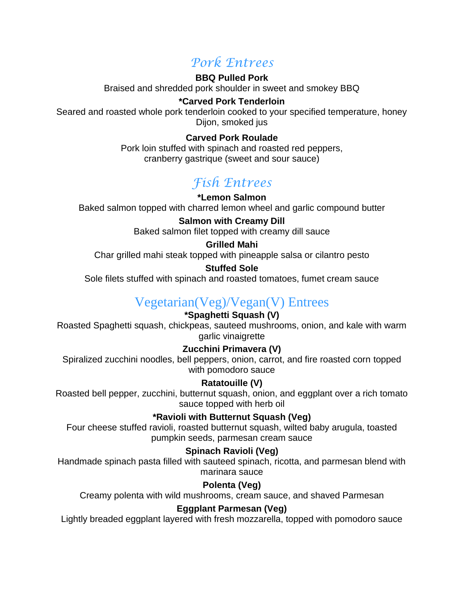### *Pork Entrees*

#### **BBQ Pulled Pork**

Braised and shredded pork shoulder in sweet and smokey BBQ

#### **\*Carved Pork Tenderloin**

Seared and roasted whole pork tenderloin cooked to your specified temperature, honey Dijon, smoked jus

#### **Carved Pork Roulade**

Pork loin stuffed with spinach and roasted red peppers, cranberry gastrique (sweet and sour sauce)

### *Fish Entrees*

#### **\*Lemon Salmon**

Baked salmon topped with charred lemon wheel and garlic compound butter

#### **Salmon with Creamy Dill**

Baked salmon filet topped with creamy dill sauce

#### **Grilled Mahi**

Char grilled mahi steak topped with pineapple salsa or cilantro pesto

#### **Stuffed Sole**

Sole filets stuffed with spinach and roasted tomatoes, fumet cream sauce

### Vegetarian(Veg)/Vegan(V) Entrees

#### **\*Spaghetti Squash (V)**

Roasted Spaghetti squash, chickpeas, sauteed mushrooms, onion, and kale with warm garlic vinaigrette

#### **Zucchini Primavera (V)**

Spiralized zucchini noodles, bell peppers, onion, carrot, and fire roasted corn topped with pomodoro sauce

#### **Ratatouille (V)**

Roasted bell pepper, zucchini, butternut squash, onion, and eggplant over a rich tomato sauce topped with herb oil

#### \* **\*Ravioli with Butternut Squash (Veg)**

Four cheese stuffed ravioli, roasted butternut squash, wilted baby arugula, toasted pumpkin seeds, parmesan cream sauce

#### **Spinach Ravioli (Veg)**

Handmade spinach pasta filled with sauteed spinach, ricotta, and parmesan blend with marinara sauce

#### **Polenta (Veg)**

Creamy polenta with wild mushrooms, cream sauce, and shaved Parmesan

#### **Eggplant Parmesan (Veg)**

Lightly breaded eggplant layered with fresh mozzarella, topped with pomodoro sauce